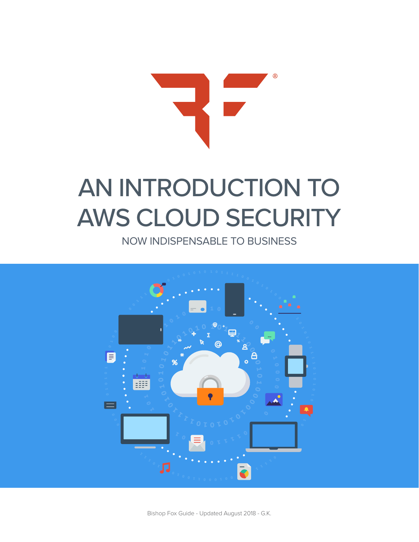

## AN INTRODUCTION TO AWS CLOUD SECURITY

NOW INDISPENSABLE TO BUSINESS

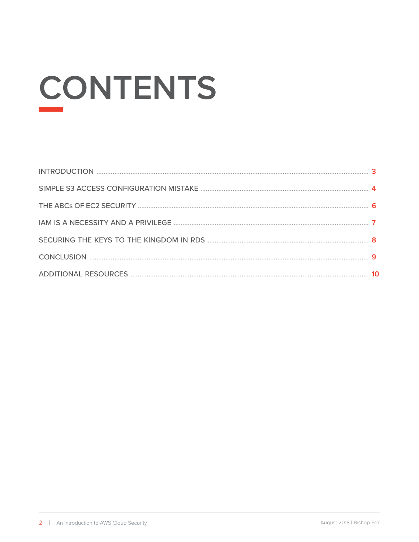# **CONTENTS**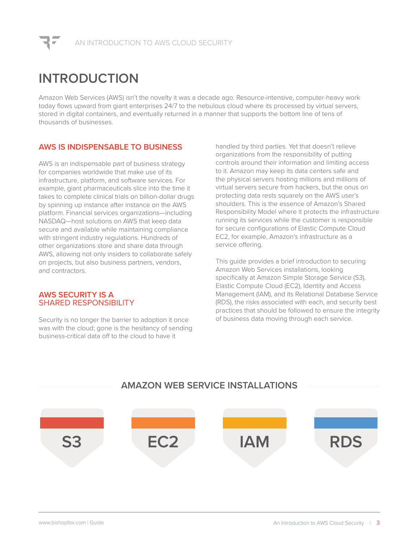### **INTRODUCTION**

Amazon Web Services (AWS) isn't the novelty it was a decade ago. Resource-intensive, computer-heavy work today flows upward from giant enterprises 24/7 to the nebulous cloud where its processed by virtual servers, stored in digital containers, and eventually returned in a manner that supports the bottom line of tens of thousands of businesses.

### **AWS IS INDISPENSABLE TO BUSINESS**

AWS is an indispensable part of business strategy for companies worldwide that make use of its infrastructure, platform, and software services. For example, giant pharmaceuticals slice into the time it takes to complete clinical trials on billion-dollar drugs by spinning up instance after instance on the AWS platform. Financial services organizations—including NASDAQ—host solutions on AWS that keep data secure and available while maintaining compliance with stringent industry regulations. Hundreds of other organizations store and share data through AWS, allowing not only insiders to collaborate safely on projects, but also business partners, vendors, and contractors.

#### **AWS SECURITY IS A**  SHARED RESPONSIBILITY

Security is no longer the barrier to adoption it once was with the cloud; gone is the hesitancy of sending business-critical data off to the cloud to have it

handled by third parties. Yet that doesn't relieve organizations from the responsibility of putting controls around their information and limiting access to it. Amazon may keep its data centers safe and the physical servers hosting millions and millions of virtual servers secure from hackers, but the onus on protecting data rests squarely on the AWS user's shoulders. This is the essence of Amazon's Shared Responsibility Model where it protects the infrastructure running its services while the customer is responsible for secure configurations of Elastic Compute Cloud EC2, for example, Amazon's infrastructure as a service offering.

This guide provides a brief introduction to securing Amazon Web Services installations, looking specifically at Amazon Simple Storage Service (S3), Elastic Compute Cloud (EC2), Identity and Access Management (IAM), and its Relational Database Service (RDS), the risks associated with each, and security best practices that should be followed to ensure the integrity of business data moving through each service.

### **AMAZON WEB SERVICE INSTALLATIONS**

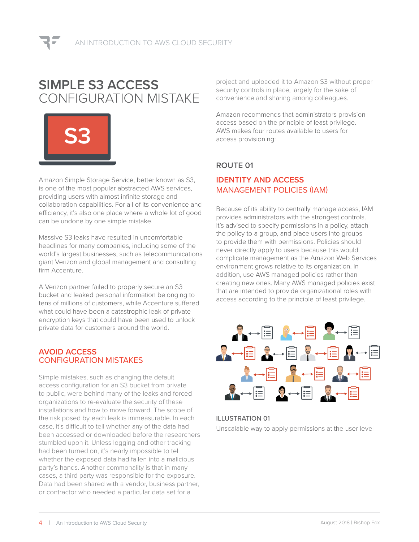### **SIMPLE S3 ACCESS** CONFIGURATION MISTAKE



Amazon Simple Storage Service, better known as S3, is one of the most popular abstracted AWS services, providing users with almost infinite storage and collaboration capabilities. For all of its convenience and efficiency, it's also one place where a whole lot of good can be undone by one simple mistake.

Massive S3 leaks have resulted in uncomfortable headlines for many companies, including some of the world's largest businesses, such as telecommunications giant Verizon and global management and consulting firm Accenture.

A Verizon partner failed to properly secure an S3 bucket and leaked personal information belonging to tens of millions of customers, while Accenture suffered what could have been a catastrophic leak of private encryption keys that could have been used to unlock private data for customers around the world.

### **AVOID ACCESS** CONFIGURATION MISTAKES

Simple mistakes, such as changing the default access configuration for an S3 bucket from private to public, were behind many of the leaks and forced organizations to re-evaluate the security of these installations and how to move forward. The scope of the risk posed by each leak is immeasurable. In each case, it's difficult to tell whether any of the data had been accessed or downloaded before the researchers stumbled upon it. Unless logging and other tracking had been turned on, it's nearly impossible to tell whether the exposed data had fallen into a malicious party's hands. Another commonality is that in many cases, a third party was responsible for the exposure. Data had been shared with a vendor, business partner, or contractor who needed a particular data set for a

project and uploaded it to Amazon S3 without proper security controls in place, largely for the sake of convenience and sharing among colleagues.

Amazon recommends that administrators provision access based on the principle of least privilege. AWS makes four routes available to users for access provisioning:

### **ROUTE 01**

### **IDENTITY AND ACCESS**  MANAGEMENT POLICIES (IAM)

Because of its ability to centrally manage access, IAM provides administrators with the strongest controls. It's advised to specify permissions in a policy, attach the policy to a group, and place users into groups to provide them with permissions. Policies should never directly apply to users because this would complicate management as the Amazon Web Services environment grows relative to its organization. In addition, use AWS managed policies rather than creating new ones. Many AWS managed policies exist that are intended to provide organizational roles with access according to the principle of least privilege.



#### ILLUSTRATION 01

Unscalable way to apply permissions at the user level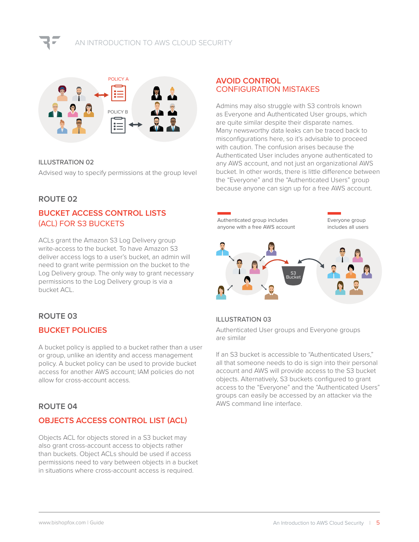

#### ILLUSTRATION 02

Advised way to specify permissions at the group level

### **ROUTE 02**

### **BUCKET ACCESS CONTROL LISTS**  (ACL) FOR S3 BUCKETS

ACLs grant the Amazon S3 Log Delivery group write-access to the bucket. To have Amazon S3 deliver access logs to a user's bucket, an admin will need to grant write permission on the bucket to the Log Delivery group. The only way to grant necessary permissions to the Log Delivery group is via a bucket ACL.

### **ROUTE 03**

#### **BUCKET POLICIES**

A bucket policy is applied to a bucket rather than a user or group, unlike an identity and access management policy. A bucket policy can be used to provide bucket access for another AWS account; IAM policies do not allow for cross-account access.

### **ROUTE 04**

### **OBJECTS ACCESS CONTROL LIST (ACL)**

Objects ACL for objects stored in a S3 bucket may also grant cross-account access to objects rather than buckets. Object ACLs should be used if access permissions need to vary between objects in a bucket in situations where cross-account access is required.

#### **AVOID CONTROL**  CONFIGURATION MISTAKES

Admins may also struggle with S3 controls known as Everyone and Authenticated User groups, which are quite similar despite their disparate names. Many newsworthy data leaks can be traced back to misconfigurations here, so it's advisable to proceed with caution. The confusion arises because the Authenticated User includes anyone authenticated to any AWS account, and not just an organizational AWS bucket. In other words, there is little difference between the "Everyone" and the "Authenticated Users" group because anyone can sign up for a free AWS account.



#### ILLUSTRATION 03

Authenticated User groups and Everyone groups are similar

If an S3 bucket is accessible to "Authenticated Users," all that someone needs to do is sign into their personal account and AWS will provide access to the S3 bucket objects. Alternatively, S3 buckets configured to grant access to the "Everyone" and the "Authenticated Users" groups can easily be accessed by an attacker via the AWS command line interface.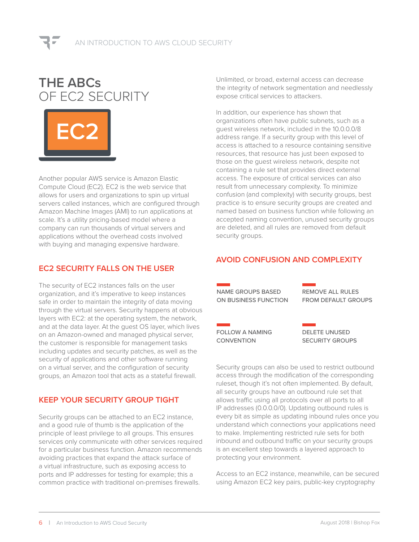### **THE ABCs** OF EC2 SECURITY



Another popular AWS service is Amazon Elastic Compute Cloud (EC2). EC2 is the web service that allows for users and organizations to spin up virtual servers called instances, which are configured through Amazon Machine Images (AMI) to run applications at scale. It's a utility pricing-based model where a company can run thousands of virtual servers and applications without the overhead costs involved with buying and managing expensive hardware.

### **EC2 SECURITY FALLS ON THE USER**

The security of EC2 instances falls on the user organization, and it's imperative to keep instances safe in order to maintain the integrity of data moving through the virtual servers. Security happens at obvious layers with EC2: at the operating system, the network, and at the data layer. At the guest OS layer, which lives on an Amazon-owned and managed physical server, the customer is responsible for management tasks including updates and security patches, as well as the security of applications and other software running on a virtual server, and the configuration of security groups, an Amazon tool that acts as a stateful firewall.

### **KEEP YOUR SECURITY GROUP TIGHT**

Security groups can be attached to an EC2 instance, and a good rule of thumb is the application of the principle of least privilege to all groups. This ensures services only communicate with other services required for a particular business function. Amazon recommends avoiding practices that expand the attack surface of a virtual infrastructure, such as exposing access to ports and IP addresses for testing for example; this a common practice with traditional on-premises firewalls.

Unlimited, or broad, external access can decrease the integrity of network segmentation and needlessly expose critical services to attackers.

In addition, our experience has shown that organizations often have public subnets, such as a guest wireless network, included in the 10.0.0.0/8 address range. If a security group with this level of access is attached to a resource containing sensitive resources, that resource has just been exposed to those on the guest wireless network, despite not containing a rule set that provides direct external access. The exposure of critical services can also result from unnecessary complexity. To minimize confusion (and complexity) with security groups, best practice is to ensure security groups are created and named based on business function while following an accepted naming convention, unused security groups are deleted, and all rules are removed from default security groups.

### **AVOID CONFUSION AND COMPLEXITY**

NAME GROUPS BASED ON BUSINESS FUNCTION REMOVE ALL RULES FROM DEFAULT GROUPS

FOLLOW A NAMING **CONVENTION** 

DELETE UNUSED SECURITY GROUPS

Security groups can also be used to restrict outbound access through the modification of the corresponding ruleset, though it's not often implemented. By default, all security groups have an outbound rule set that allows traffic using all protocols over all ports to all IP addresses (0.0.0.0/0). Updating outbound rules is every bit as simple as updating inbound rules once you understand which connections your applications need to make. Implementing restricted rule sets for both inbound and outbound traffic on your security groups is an excellent step towards a layered approach to protecting your environment.

Access to an EC2 instance, meanwhile, can be secured using Amazon EC2 key pairs, public-key cryptography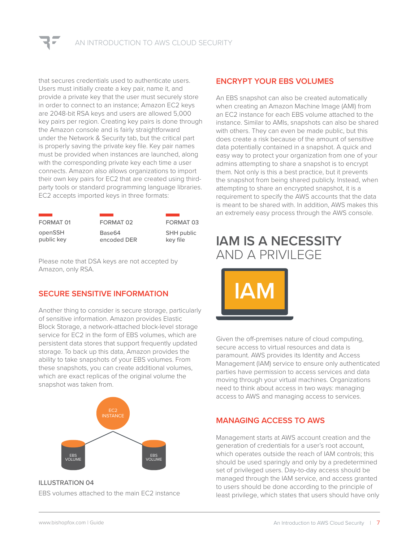that secures credentials used to authenticate users. Users must initially create a key pair, name it, and provide a private key that the user must securely store in order to connect to an instance; Amazon EC2 keys are 2048-bit RSA keys and users are allowed 5,000 key pairs per region. Creating key pairs is done through the Amazon console and is fairly straightforward under the Network & Security tab, but the critical part is properly saving the private key file. Key pair names must be provided when instances are launched, along with the corresponding private key each time a user connects. Amazon also allows organizations to import their own key pairs for EC2 that are created using thirdparty tools or standard programming language libraries. EC2 accepts imported keys in three formats:

| FORMAT 01             | FORMAT <sub>02</sub>  | FORMAT <sub>03</sub>   |
|-----------------------|-----------------------|------------------------|
| openSSH<br>public key | Base64<br>encoded DER | SHH public<br>key file |

Please note that DSA keys are not accepted by Amazon, only RSA.

### **SECURE SENSITIVE INFORMATION**

Another thing to consider is secure storage, particularly of sensitive information. Amazon provides Elastic Block Storage, a network-attached block-level storage service for EC2 in the form of EBS volumes, which are persistent data stores that support frequently updated storage. To back up this data, Amazon provides the ability to take snapshots of your EBS volumes. From these snapshots, you can create additional volumes, which are exact replicas of the original volume the snapshot was taken from.



ILLUSTRATION 04 EBS volumes attached to the main EC2 instance

### **ENCRYPT YOUR EBS VOLUMES**

An EBS snapshot can also be created automatically when creating an Amazon Machine Image (AMI) from an EC2 instance for each EBS volume attached to the instance. Similar to AMIs, snapshots can also be shared with others. They can even be made public, but this does create a risk because of the amount of sensitive data potentially contained in a snapshot. A quick and easy way to protect your organization from one of your admins attempting to share a snapshot is to encrypt them. Not only is this a best practice, but it prevents the snapshot from being shared publicly. Instead, when attempting to share an encrypted snapshot, it is a requirement to specify the AWS accounts that the data is meant to be shared with. In addition, AWS makes this an extremely easy process through the AWS console.

### **IAM IS A NECESSITY** AND A PRIVILEGE

**IAM**

Given the off-premises nature of cloud computing, secure access to virtual resources and data is paramount. AWS provides its Identity and Access Management (IAM) service to ensure only authenticated parties have permission to access services and data moving through your virtual machines. Organizations need to think about access in two ways: managing access to AWS and managing access to services.

### **MANAGING ACCESS TO AWS**

Management starts at AWS account creation and the generation of credentials for a user's root account, which operates outside the reach of IAM controls; this should be used sparingly and only by a predetermined set of privileged users. Day-to-day access should be managed through the IAM service, and access granted to users should be done according to the principle of least privilege, which states that users should have only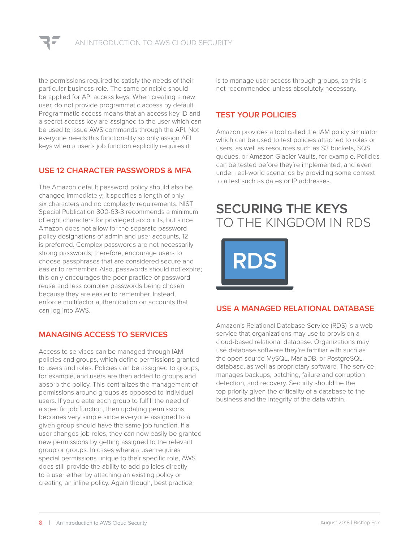the permissions required to satisfy the needs of their particular business role. The same principle should be applied for API access keys. When creating a new user, do not provide programmatic access by default. Programmatic access means that an access key ID and a secret access key are assigned to the user which can be used to issue AWS commands through the API. Not everyone needs this functionality so only assign API keys when a user's job function explicitly requires it.

### **USE 12 CHARACTER PASSWORDS & MFA**

The Amazon default password policy should also be changed immediately; it specifies a length of only six characters and no complexity requirements. NIST Special Publication 800-63-3 recommends a minimum of eight characters for privileged accounts, but since Amazon does not allow for the separate password policy designations of admin and user accounts, 12 is preferred. Complex passwords are not necessarily strong passwords; therefore, encourage users to choose passphrases that are considered secure and easier to remember. Also, passwords should not expire; this only encourages the poor practice of password reuse and less complex passwords being chosen because they are easier to remember. Instead, enforce multifactor authentication on accounts that can log into AWS.

### **MANAGING ACCESS TO SERVICES**

Access to services can be managed through IAM policies and groups, which define permissions granted to users and roles. Policies can be assigned to groups, for example, and users are then added to groups and absorb the policy. This centralizes the management of permissions around groups as opposed to individual users. If you create each group to fulfill the need of a specific job function, then updating permissions becomes very simple since everyone assigned to a given group should have the same job function. If a user changes job roles, they can now easily be granted new permissions by getting assigned to the relevant group or groups. In cases where a user requires special permissions unique to their specific role, AWS does still provide the ability to add policies directly to a user either by attaching an existing policy or creating an inline policy. Again though, best practice

is to manage user access through groups, so this is not recommended unless absolutely necessary.

### **TEST YOUR POLICIES**

Amazon provides a tool called the IAM policy simulator which can be used to test policies attached to roles or users, as well as resources such as S3 buckets, SQS queues, or Amazon Glacier Vaults, for example. Policies can be tested before they're implemented, and even under real-world scenarios by providing some context to a test such as dates or IP addresses.

### **SECURING THE KEYS** TO THE KINGDOM IN RDS

**RDS**

### **USE A MANAGED RELATIONAL DATABASE**

Amazon's Relational Database Service (RDS) is a web service that organizations may use to provision a cloud-based relational database. Organizations may use database software they're familiar with such as the open source MySQL, MariaDB, or PostgreSQL database, as well as proprietary software. The service manages backups, patching, failure and corruption detection, and recovery. Security should be the top priority given the criticality of a database to the business and the integrity of the data within.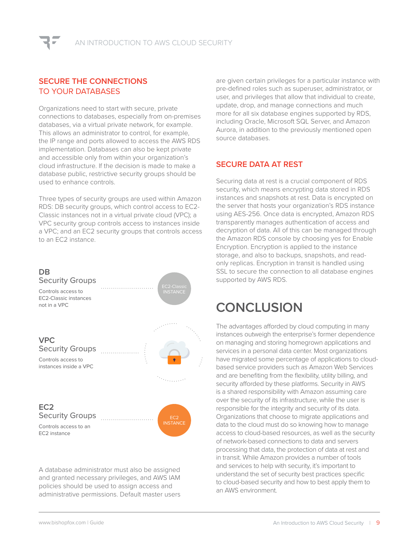### **SECURE THE CONNECTIONS**  TO YOUR DATABASES

Organizations need to start with secure, private connections to databases, especially from on-premises databases, via a virtual private network, for example. This allows an administrator to control, for example, the IP range and ports allowed to access the AWS RDS implementation. Databases can also be kept private and accessible only from within your organization's cloud infrastructure. If the decision is made to make a database public, restrictive security groups should be used to enhance controls.

Three types of security groups are used within Amazon RDS: DB security groups, which control access to EC2- Classic instances not in a virtual private cloud (VPC); a VPC security group controls access to instances inside a VPC; and an EC2 security groups that controls access to an EC2 instance.



A database administrator must also be assigned and granted necessary privileges, and AWS IAM policies should be used to assign access and administrative permissions. Default master users are given certain privileges for a particular instance with pre-defined roles such as superuser, administrator, or user, and privileges that allow that individual to create, update, drop, and manage connections and much more for all six database engines supported by RDS, including Oracle, Microsoft SQL Server, and Amazon Aurora, in addition to the previously mentioned open source databases.

### **SECURE DATA AT REST**

Securing data at rest is a crucial component of RDS security, which means encrypting data stored in RDS instances and snapshots at rest. Data is encrypted on the server that hosts your organization's RDS instance using AES-256. Once data is encrypted, Amazon RDS transparently manages authentication of access and decryption of data. All of this can be managed through the Amazon RDS console by choosing yes for Enable Encryption. Encryption is applied to the instance storage, and also to backups, snapshots, and readonly replicas. Encryption in transit is handled using SSL to secure the connection to all database engines supported by AWS RDS.

### **CONCLUSION**

The advantages afforded by cloud computing in many instances outweigh the enterprise's former dependence on managing and storing homegrown applications and services in a personal data center. Most organizations have migrated some percentage of applications to cloudbased service providers such as Amazon Web Services and are benefiting from the flexibility, utility billing, and security afforded by these platforms. Security in AWS is a shared responsibility with Amazon assuming care over the security of its infrastructure, while the user is responsible for the integrity and security of its data. Organizations that choose to migrate applications and data to the cloud must do so knowing how to manage access to cloud-based resources, as well as the security of network-based connections to data and servers processing that data, the protection of data at rest and in transit. While Amazon provides a number of tools and services to help with security, it's important to understand the set of security best practices specific to cloud-based security and how to best apply them to an AWS environment.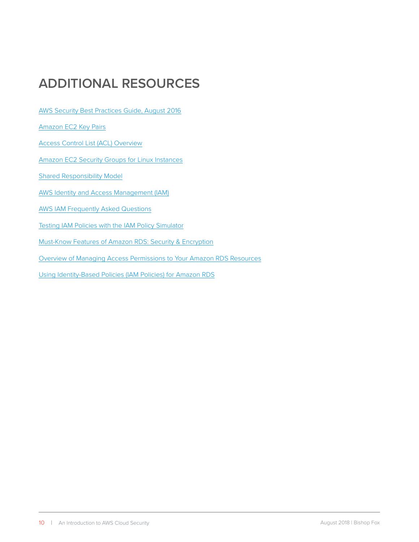### **ADDITIONAL RESOURCES**

- [AWS Security Best Practices Guide, August 2016](https://d1.awsstatic.com/whitepapers/Security/AWS_Security_Best_Practices.pdf)
- [Amazon EC2 Key Pairs](https://docs.aws.amazon.com/AWSEC2/latest/UserGuide/ec2-key-pairs.html
)
- [Access Control List \(ACL\) Overview](https://docs.aws.amazon.com/AmazonS3/latest/dev/acl-overview.html)
- [Amazon EC2 Security Groups for Linux Instances](https://docs.aws.amazon.com/AWSEC2/latest/UserGuide/using-network-security.html)
- [Shared Responsibility Model](https://aws.amazon.com/compliance/shared-responsibility-model/)
- [AWS Identity and Access Management \(IAM\)](https://aws.amazon.com/iam/)
- [AWS IAM Frequently Asked Questions](https://aws.amazon.com/iam/faqs/)
- [Testing IAM Policies with the IAM Policy Simulator](https://docs.aws.amazon.com/IAM/latest/UserGuide/access_policies_testing-policies.html)
- [Must-Know Features of Amazon RDS: Security & Encryption](https://n2ws.com/blog/security-compliance/features-amazon-rds-security-encryption)
- [Overview of Managing Access Permissions to Your Amazon RDS Resources](https://docs.aws.amazon.com/AmazonRDS/latest/UserGuide/UsingWithRDS.IAM.AccessControl.Overview.html)
- [Using Identity-Based Policies \(IAM Policies\) for Amazon RDS](https://docs.aws.amazon.com/AmazonRDS/latest/UserGuide/UsingWithRDS.IAM.AccessControl.IdentityBased.html)